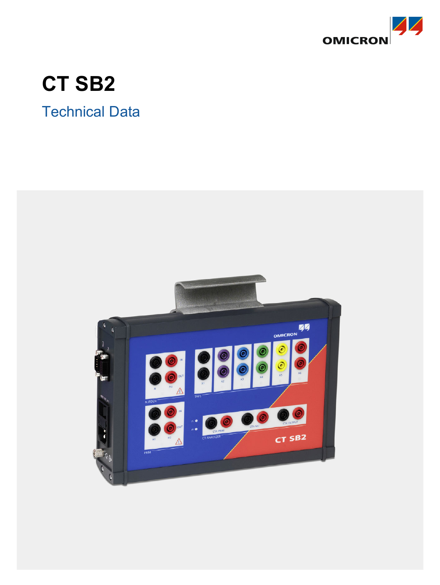

# **CT SB2**

# Technical Data

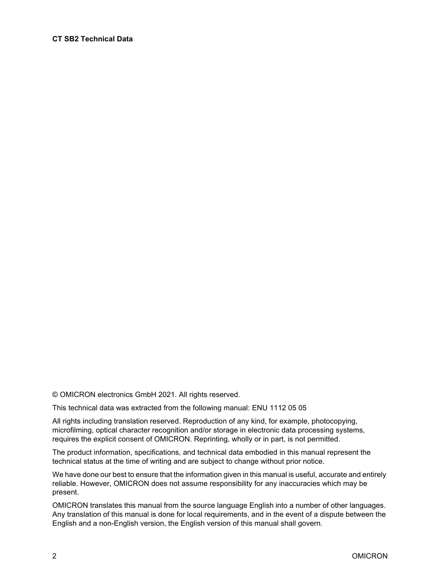#### **CT SB2 Technical Data**

© OMICRON electronics GmbH 2021. All rights reserved.

This technical data was extracted from the following manual: ENU 1112 05 05

All rights including translation reserved. Reproduction of any kind, for example, photocopying, microfilming, optical character recognition and/or storage in electronic data processing systems, requires the explicit consent of OMICRON. Reprinting, wholly or in part, is not permitted.

The product information, specifications, and technical data embodied in this manual represent the technical status at the time of writing and are subject to change without prior notice.

We have done our best to ensure that the information given in this manual is useful, accurate and entirely reliable. However, OMICRON does not assume responsibility for any inaccuracies which may be present.

OMICRON translates this manual from the source language English into a number of other languages. Any translation of this manual is done for local requirements, and in the event of a dispute between the English and a non-English version, the English version of this manual shall govern.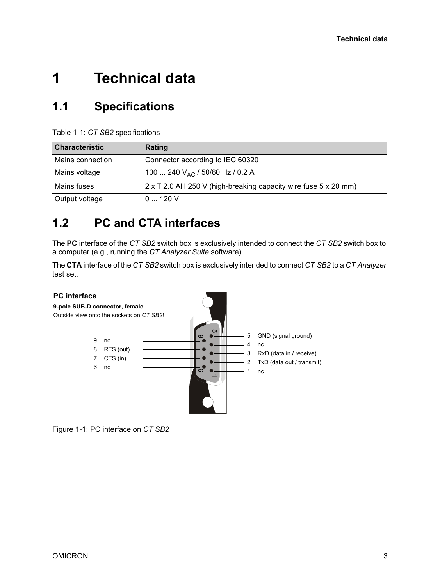# **1 Technical data**

#### **1.1 Specifications**

Table 1-1: *CT SB2* specifications

| <b>Characteristic</b> | Rating                                                                 |
|-----------------------|------------------------------------------------------------------------|
| Mains connection      | Connector according to IEC 60320                                       |
| Mains voltage         | 100  240 V <sub>AC</sub> / 50/60 Hz / 0.2 A                            |
| Mains fuses           | $2 \times T$ 2.0 AH 250 V (high-breaking capacity wire fuse 5 x 20 mm) |
| Output voltage        | 0120V                                                                  |

#### **1.2 PC and CTA interfaces**

The **PC** interface of the *CT SB2* switch box is exclusively intended to connect the *CT SB2* switch box to a computer (e.g., running the *CT Analyzer Suite* software).

The **CTA** interface of the *CT SB2* switch box is exclusively intended to connect *CT SB2* to a *CT Analyzer* test set.



Figure 1-1: PC interface on *CT SB2*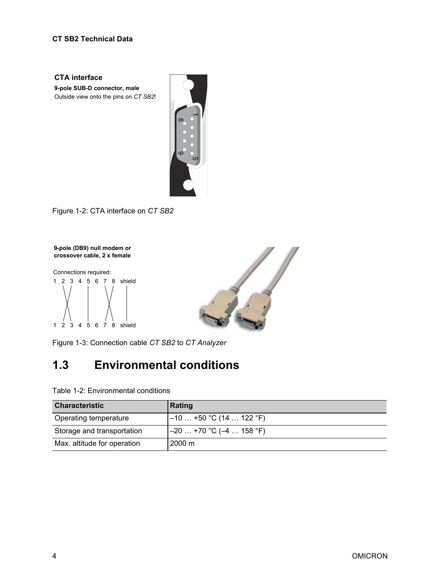#### **CT SB2 Technical Data**

**CTA interface 9-pole SUB-D connector, male** Outside view onto the pins on *CT SB2*!



1 2 3 4 5 6 7 8 shield 1 2 3 4 5 6 7 8 shield



### **1.3 Environmental conditions**

|                                                                                                                                                                    | $\mathbf{D}_{\bigcirc}$<br>$\circ$<br>CΠ |  |  |  |
|--------------------------------------------------------------------------------------------------------------------------------------------------------------------|------------------------------------------|--|--|--|
| Figure 1-2: CTA interface on CT SB2                                                                                                                                |                                          |  |  |  |
| 9-pole (DB9) null modem or<br>crossover cable, 2 x female<br>Connections required:<br>1 2 3 4 5 6 7 8 shield<br>6 7 8 shield<br>$1 \t2 \t3$<br>$\overline{4}$<br>5 |                                          |  |  |  |
| Figure 1-3: Connection cable CT SB2 to CT Analyzer                                                                                                                 |                                          |  |  |  |
| <b>Environmental conditions</b><br>1.3                                                                                                                             |                                          |  |  |  |
| Table 1-2: Environmental conditions                                                                                                                                |                                          |  |  |  |
| <b>Characteristic</b>                                                                                                                                              | Rating                                   |  |  |  |
| Operating temperature                                                                                                                                              | $-10+50 °C (14 122 °F)$                  |  |  |  |
| Storage and transportation                                                                                                                                         | $-20+70$ °C ( $-4158$ °F)                |  |  |  |
| Max. altitude for operation                                                                                                                                        | 2000 m                                   |  |  |  |